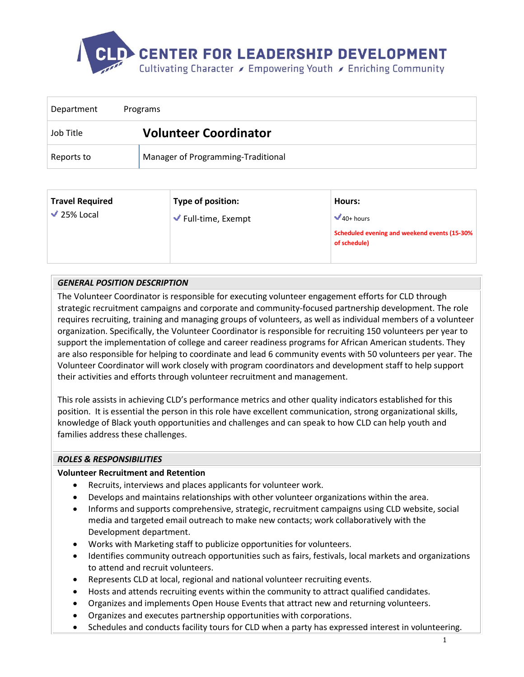

| Department | Programs                           |
|------------|------------------------------------|
| Job Title  | <b>Volunteer Coordinator</b>       |
| Reports to | Manager of Programming-Traditional |

| <b>Travel Required</b> | Type of position:                       | Hours:                                                       |
|------------------------|-----------------------------------------|--------------------------------------------------------------|
| $\sqrt{25\%}$ Local    | $\blacktriangleright$ Full-time, Exempt | $40+ hours$                                                  |
|                        |                                         | Scheduled evening and weekend events (15-30%<br>of schedule) |
|                        |                                         |                                                              |

# *GENERAL POSITION DESCRIPTION*

The Volunteer Coordinator is responsible for executing volunteer engagement efforts for CLD through strategic recruitment campaigns and corporate and community-focused partnership development. The role requires recruiting, training and managing groups of volunteers, as well as individual members of a volunteer organization. Specifically, the Volunteer Coordinator is responsible for recruiting 150 volunteers per year to support the implementation of college and career readiness programs for African American students. They are also responsible for helping to coordinate and lead 6 community events with 50 volunteers per year. The Volunteer Coordinator will work closely with program coordinators and development staff to help support their activities and efforts through volunteer recruitment and management.

This role assists in achieving CLD's performance metrics and other quality indicators established for this position. It is essential the person in this role have excellent communication, strong organizational skills, knowledge of Black youth opportunities and challenges and can speak to how CLD can help youth and families address these challenges.

# *ROLES & RESPONSIBILITIES*

# **Volunteer Recruitment and Retention**

- Recruits, interviews and places applicants for volunteer work.
- Develops and maintains relationships with other volunteer organizations within the area.
- Informs and supports comprehensive, strategic, recruitment campaigns using CLD website, social media and targeted email outreach to make new contacts; work collaboratively with the Development department.
- Works with Marketing staff to publicize opportunities for volunteers.
- Identifies community outreach opportunities such as fairs, festivals, local markets and organizations to attend and recruit volunteers.
- Represents CLD at local, regional and national volunteer recruiting events.
- Hosts and attends recruiting events within the community to attract qualified candidates.
- Organizes and implements Open House Events that attract new and returning volunteers.
- Organizes and executes partnership opportunities with corporations.
- Schedules and conducts facility tours for CLD when a party has expressed interest in volunteering.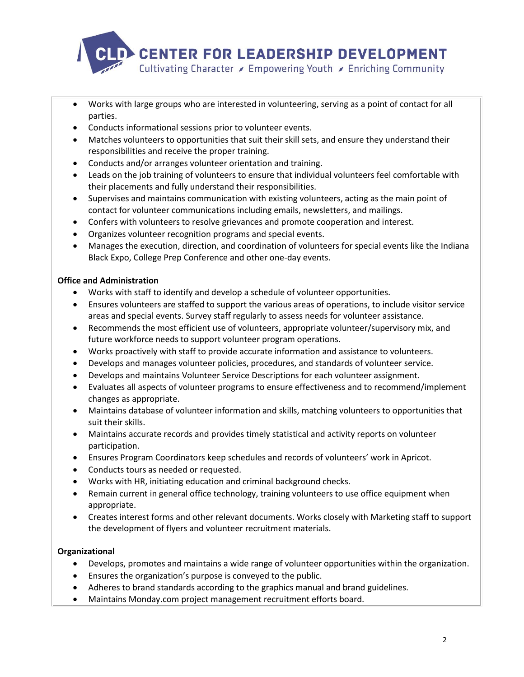

- Works with large groups who are interested in volunteering, serving as a point of contact for all parties.
- Conducts informational sessions prior to volunteer events.
- Matches volunteers to opportunities that suit their skill sets, and ensure they understand their responsibilities and receive the proper training.
- Conducts and/or arranges volunteer orientation and training.
- Leads on the job training of volunteers to ensure that individual volunteers feel comfortable with their placements and fully understand their responsibilities.
- Supervises and maintains communication with existing volunteers, acting as the main point of contact for volunteer communications including emails, newsletters, and mailings.
- Confers with volunteers to resolve grievances and promote cooperation and interest.
- Organizes volunteer recognition programs and special events.
- Manages the execution, direction, and coordination of volunteers for special events like the Indiana Black Expo, College Prep Conference and other one-day events.

# **Office and Administration**

- Works with staff to identify and develop a schedule of volunteer opportunities.
- Ensures volunteers are staffed to support the various areas of operations, to include visitor service areas and special events. Survey staff regularly to assess needs for volunteer assistance.
- Recommends the most efficient use of volunteers, appropriate volunteer/supervisory mix, and future workforce needs to support volunteer program operations.
- Works proactively with staff to provide accurate information and assistance to volunteers.
- Develops and manages volunteer policies, procedures, and standards of volunteer service.
- Develops and maintains Volunteer Service Descriptions for each volunteer assignment.
- Evaluates all aspects of volunteer programs to ensure effectiveness and to recommend/implement changes as appropriate.
- Maintains database of volunteer information and skills, matching volunteers to opportunities that suit their skills.
- Maintains accurate records and provides timely statistical and activity reports on volunteer participation.
- Ensures Program Coordinators keep schedules and records of volunteers' work in Apricot.
- Conducts tours as needed or requested.
- Works with HR, initiating education and criminal background checks.
- Remain current in general office technology, training volunteers to use office equipment when appropriate.
- Creates interest forms and other relevant documents. Works closely with Marketing staff to support the development of flyers and volunteer recruitment materials.

# **Organizational**

- Develops, promotes and maintains a wide range of volunteer opportunities within the organization.
- Ensures the organization's purpose is conveyed to the public.
- Adheres to brand standards according to the graphics manual and brand guidelines.
- Maintains Monday.com project management recruitment efforts board.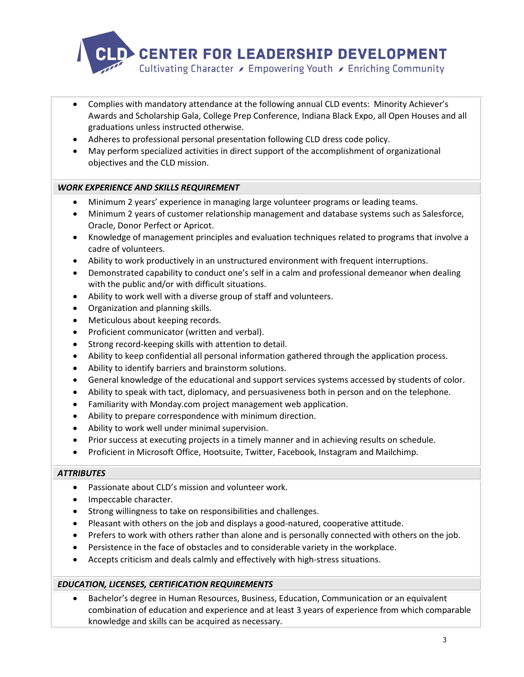

- Complies with mandatory attendance at the following annual CLD events: Minority Achiever's Awards and Scholarship Gala, College Prep Conference, Indiana Black Expo, all Open Houses and all graduations unless instructed otherwise.
- Adheres to professional personal presentation following CLD dress code policy.
- May perform specialized activities in direct support of the accomplishment of organizational objectives and the CLD mission.

# *WORK EXPERIENCE AND SKILLS REQUIREMENT*

- Minimum 2 years' experience in managing large volunteer programs or leading teams.
- Minimum 2 years of customer relationship management and database systems such as Salesforce, Oracle, Donor Perfect or Apricot.
- Knowledge of management principles and evaluation techniques related to programs that involve a cadre of volunteers.
- Ability to work productively in an unstructured environment with frequent interruptions.
- Demonstrated capability to conduct one's self in a calm and professional demeanor when dealing with the public and/or with difficult situations.
- Ability to work well with a diverse group of staff and volunteers.
- Organization and planning skills.
- Meticulous about keeping records.
- Proficient communicator (written and verbal).
- Strong record-keeping skills with attention to detail.
- Ability to keep confidential all personal information gathered through the application process.
- Ability to identify barriers and brainstorm solutions.
- General knowledge of the educational and support services systems accessed by students of color.
- Ability to speak with tact, diplomacy, and persuasiveness both in person and on the telephone.
- Familiarity with Monday.com project management web application.
- Ability to prepare correspondence with minimum direction.
- Ability to work well under minimal supervision.
- Prior success at executing projects in a timely manner and in achieving results on schedule.
- Proficient in Microsoft Office, Hootsuite, Twitter, Facebook, Instagram and Mailchimp.

# *ATTRIBUTES*

- Passionate about CLD's mission and volunteer work.
- Impeccable character.
- Strong willingness to take on responsibilities and challenges.
- Pleasant with others on the job and displays a good-natured, cooperative attitude.
- Prefers to work with others rather than alone and is personally connected with others on the job.
- Persistence in the face of obstacles and to considerable variety in the workplace.
- Accepts criticism and deals calmly and effectively with high-stress situations.

# *EDUCATION, LICENSES, CERTIFICATION REQUIREMENTS*

• Bachelor's degree in Human Resources, Business, Education, Communication or an equivalent combination of education and experience and at least 3 years of experience from which comparable knowledge and skills can be acquired as necessary.